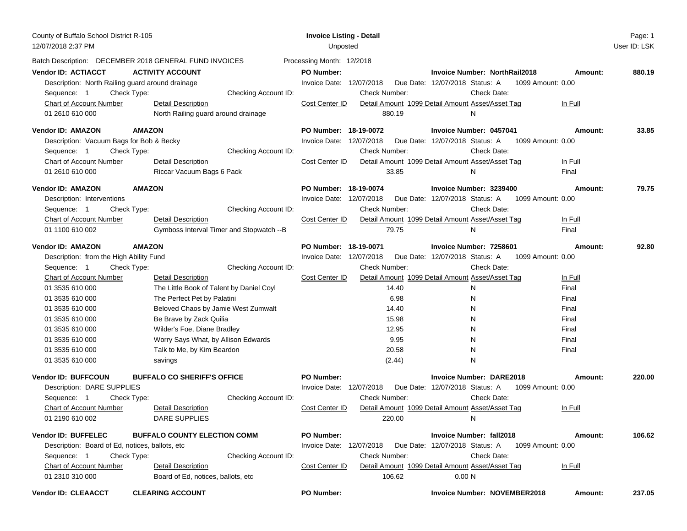| County of Buffalo School District R-105<br>12/07/2018 2:37 PM |                                                        | <b>Invoice Listing - Detail</b><br>Unposted |                      |                                                     |         | Page: 1<br>User ID: LSK |
|---------------------------------------------------------------|--------------------------------------------------------|---------------------------------------------|----------------------|-----------------------------------------------------|---------|-------------------------|
|                                                               | Batch Description: DECEMBER 2018 GENERAL FUND INVOICES | Processing Month: 12/2018                   |                      |                                                     |         |                         |
| <b>Vendor ID: ACTIACCT</b>                                    | <b>ACTIVITY ACCOUNT</b>                                | <b>PO Number:</b>                           |                      | <b>Invoice Number: NorthRail2018</b>                | Amount: | 880.19                  |
| Description: North Railing guard around drainage              |                                                        | Invoice Date: 12/07/2018                    |                      | Due Date: 12/07/2018 Status: A<br>1099 Amount: 0.00 |         |                         |
| Check Type:<br>Sequence: 1                                    | Checking Account ID:                                   |                                             | <b>Check Number:</b> | Check Date:                                         |         |                         |
| <b>Chart of Account Number</b>                                | <b>Detail Description</b>                              | Cost Center ID                              |                      | Detail Amount 1099 Detail Amount Asset/Asset Tag    | In Full |                         |
| 01 2610 610 000                                               | North Railing guard around drainage                    |                                             | 880.19               | N                                                   |         |                         |
| Vendor ID: AMAZON                                             | <b>AMAZON</b>                                          | PO Number: 18-19-0072                       |                      | Invoice Number: 0457041                             | Amount: | 33.85                   |
| Description: Vacuum Bags for Bob & Becky                      |                                                        | Invoice Date: 12/07/2018                    |                      | Due Date: 12/07/2018 Status: A<br>1099 Amount: 0.00 |         |                         |
| Sequence: 1<br>Check Type:                                    | Checking Account ID:                                   |                                             | Check Number:        | Check Date:                                         |         |                         |
| Chart of Account Number                                       | <b>Detail Description</b>                              | Cost Center ID                              |                      | Detail Amount 1099 Detail Amount Asset/Asset Tag    | In Full |                         |
| 01 2610 610 000                                               | Riccar Vacuum Bags 6 Pack                              |                                             | 33.85                | N                                                   | Final   |                         |
| Vendor ID: AMAZON                                             | <b>AMAZON</b>                                          | PO Number: 18-19-0074                       |                      | Invoice Number: 3239400                             | Amount: | 79.75                   |
| Description: Interventions                                    |                                                        | Invoice Date: 12/07/2018                    |                      | Due Date: 12/07/2018 Status: A<br>1099 Amount: 0.00 |         |                         |
| Sequence: 1<br>Check Type:                                    | Checking Account ID:                                   |                                             | Check Number:        | <b>Check Date:</b>                                  |         |                         |
| Chart of Account Number                                       | <b>Detail Description</b>                              | Cost Center ID                              |                      | Detail Amount 1099 Detail Amount Asset/Asset Tag    | In Full |                         |
| 01 1100 610 002                                               | Gymboss Interval Timer and Stopwatch -- B              |                                             | 79.75                | N                                                   | Final   |                         |
| Vendor ID: AMAZON                                             | <b>AMAZON</b>                                          | PO Number: 18-19-0071                       |                      | Invoice Number: 7258601                             | Amount: | 92.80                   |
| Description: from the High Ability Fund                       |                                                        | Invoice Date: 12/07/2018                    |                      | Due Date: 12/07/2018 Status: A 1099 Amount: 0.00    |         |                         |
| Sequence: 1<br>Check Type:                                    | Checking Account ID:                                   |                                             | <b>Check Number:</b> | Check Date:                                         |         |                         |
| <b>Chart of Account Number</b>                                | <b>Detail Description</b>                              | Cost Center ID                              |                      | Detail Amount 1099 Detail Amount Asset/Asset Tag    | In Full |                         |
| 01 3535 610 000                                               | The Little Book of Talent by Daniel Coyl               |                                             | 14.40                | N                                                   | Final   |                         |
| 01 3535 610 000                                               | The Perfect Pet by Palatini                            |                                             | 6.98                 | N                                                   | Final   |                         |
| 01 3535 610 000                                               | Beloved Chaos by Jamie West Zumwalt                    |                                             | 14.40                | N                                                   | Final   |                         |
| 01 3535 610 000                                               | Be Brave by Zack Quilia                                |                                             | 15.98                | N                                                   | Final   |                         |
| 01 3535 610 000                                               | Wilder's Foe, Diane Bradley                            |                                             | 12.95                | N                                                   | Final   |                         |
| 01 3535 610 000                                               | Worry Says What, by Allison Edwards                    |                                             | 9.95                 | N                                                   | Final   |                         |
| 01 3535 610 000                                               | Talk to Me, by Kim Beardon                             |                                             | 20.58                | N                                                   | Final   |                         |
| 01 3535 610 000                                               | savings                                                |                                             | (2.44)               | N                                                   |         |                         |
| <b>Vendor ID: BUFFCOUN</b>                                    | <b>BUFFALO CO SHERIFF'S OFFICE</b>                     | <b>PO Number:</b>                           |                      | <b>Invoice Number: DARE2018</b>                     | Amount: | 220.00                  |
| Description: DARE SUPPLIES                                    |                                                        | Invoice Date: 12/07/2018                    |                      | Due Date: 12/07/2018 Status: A<br>1099 Amount: 0.00 |         |                         |
| Sequence: 1<br>Check Type:                                    | Checking Account ID:                                   |                                             | Check Number:        | Check Date:                                         |         |                         |
| <b>Chart of Account Number</b>                                | Detail Description                                     | Cost Center ID                              |                      | Detail Amount 1099 Detail Amount Asset/Asset Tag    | In Full |                         |
| 01 2190 610 002                                               | DARE SUPPLIES                                          |                                             | 220.00               | N                                                   |         |                         |
| Vendor ID: BUFFELEC                                           | <b>BUFFALO COUNTY ELECTION COMM</b>                    | <b>PO Number:</b>                           |                      | <b>Invoice Number: fall2018</b>                     | Amount: | 106.62                  |
| Description: Board of Ed, notices, ballots, etc.              |                                                        | Invoice Date: 12/07/2018                    |                      | Due Date: 12/07/2018 Status: A<br>1099 Amount: 0.00 |         |                         |
| Sequence: 1<br>Check Type:                                    | Checking Account ID:                                   |                                             | Check Number:        | Check Date:                                         |         |                         |
| <b>Chart of Account Number</b>                                | <b>Detail Description</b>                              | Cost Center ID                              |                      | Detail Amount 1099 Detail Amount Asset/Asset Tag    | In Full |                         |
| 01 2310 310 000                                               | Board of Ed, notices, ballots, etc.                    |                                             | 106.62               | 0.00 <sub>N</sub>                                   |         |                         |
| <b>Vendor ID: CLEAACCT</b>                                    | <b>CLEARING ACCOUNT</b>                                | <b>PO Number:</b>                           |                      | <b>Invoice Number: NOVEMBER2018</b>                 | Amount: | 237.05                  |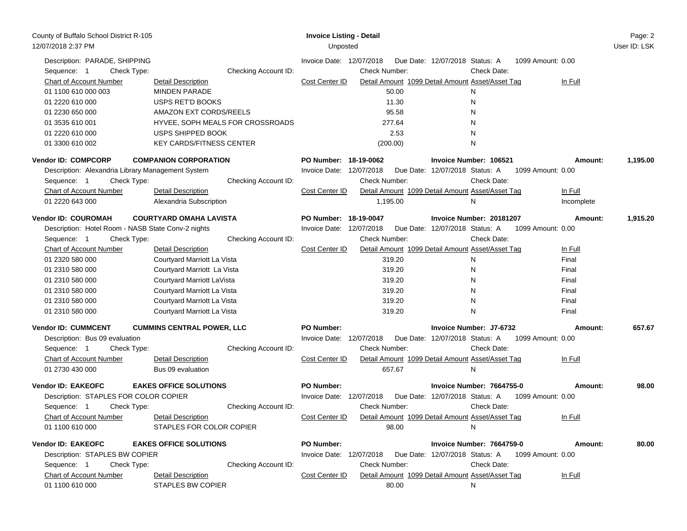| County of Buffalo School District R-105<br>12/07/2018 2:37 PM |                                   | <b>Invoice Listing - Detail</b><br>Unposted |                      |                                                  |                   | Page: 2<br>User ID: LSK |
|---------------------------------------------------------------|-----------------------------------|---------------------------------------------|----------------------|--------------------------------------------------|-------------------|-------------------------|
| Description: PARADE, SHIPPING<br>Sequence: 1<br>Check Type:   | Checking Account ID:              | Invoice Date: 12/07/2018                    | Check Number:        | Due Date: 12/07/2018 Status: A<br>Check Date:    | 1099 Amount: 0.00 |                         |
| Chart of Account Number                                       | Detail Description                | Cost Center ID                              |                      | Detail Amount 1099 Detail Amount Asset/Asset Tag | In Full           |                         |
| 01 1100 610 000 003                                           | <b>MINDEN PARADE</b>              |                                             | 50.00                | N                                                |                   |                         |
| 01 2220 610 000                                               | USPS RET'D BOOKS                  |                                             | 11.30                | N                                                |                   |                         |
| 01 2230 650 000                                               | AMAZON EXT CORDS/REELS            |                                             | 95.58                | N                                                |                   |                         |
| 01 3535 610 001                                               | HYVEE, SOPH MEALS FOR CROSSROADS  |                                             | 277.64               | N                                                |                   |                         |
| 01 2220 610 000                                               | USPS SHIPPED BOOK                 |                                             | 2.53                 | N                                                |                   |                         |
| 01 3300 610 002                                               | <b>KEY CARDS/FITNESS CENTER</b>   |                                             | (200.00)             | N                                                |                   |                         |
| <b>Vendor ID: COMPCORP</b>                                    | <b>COMPANION CORPORATION</b>      | PO Number: 18-19-0062                       |                      | Invoice Number: 106521                           | Amount:           | 1,195.00                |
| Description: Alexandria Library Management System             |                                   | Invoice Date: 12/07/2018                    |                      | Due Date: 12/07/2018 Status: A                   | 1099 Amount: 0.00 |                         |
| Check Type:<br>Sequence: 1                                    | Checking Account ID:              |                                             | Check Number:        | Check Date:                                      |                   |                         |
| Chart of Account Number                                       | <b>Detail Description</b>         | Cost Center ID                              |                      | Detail Amount 1099 Detail Amount Asset/Asset Tag | In Full           |                         |
| 01 2220 643 000                                               | Alexandria Subscription           |                                             | 1,195.00             | N                                                | Incomplete        |                         |
| <b>Vendor ID: COUROMAH</b>                                    | <b>COURTYARD OMAHA LAVISTA</b>    | PO Number: 18-19-0047                       |                      | Invoice Number: 20181207                         | Amount:           | 1,915.20                |
| Description: Hotel Room - NASB State Conv-2 nights            |                                   | Invoice Date: 12/07/2018                    |                      | Due Date: 12/07/2018 Status: A                   | 1099 Amount: 0.00 |                         |
| Check Type:<br>Sequence: 1                                    | Checking Account ID:              |                                             | Check Number:        | Check Date:                                      |                   |                         |
| <b>Chart of Account Number</b>                                | Detail Description                | Cost Center ID                              |                      | Detail Amount 1099 Detail Amount Asset/Asset Tag | In Full           |                         |
| 01 2320 580 000                                               | Courtyard Marriott La Vista       |                                             | 319.20               | N                                                | Final             |                         |
| 01 2310 580 000                                               | Courtyard Marriott La Vista       |                                             | 319.20               | N                                                | Final             |                         |
| 01 2310 580 000                                               | Courtyard Marriott LaVista        |                                             | 319.20               | N                                                | Final             |                         |
| 01 2310 580 000                                               | Courtyard Marriott La Vista       |                                             | 319.20               | N                                                | Final             |                         |
| 01 2310 580 000                                               | Courtyard Marriott La Vista       |                                             | 319.20               | N                                                | Final             |                         |
| 01 2310 580 000                                               | Courtyard Marriott La Vista       |                                             | 319.20               | N                                                | Final             |                         |
| <b>Vendor ID: CUMMCENT</b>                                    | <b>CUMMINS CENTRAL POWER, LLC</b> | <b>PO Number:</b>                           |                      | Invoice Number: J7-6732                          | Amount:           | 657.67                  |
| Description: Bus 09 evaluation                                |                                   | Invoice Date: 12/07/2018                    |                      | Due Date: 12/07/2018 Status: A                   | 1099 Amount: 0.00 |                         |
| Sequence: 1<br>Check Type:                                    | Checking Account ID:              |                                             | Check Number:        | Check Date:                                      |                   |                         |
| <b>Chart of Account Number</b>                                | <b>Detail Description</b>         | Cost Center ID                              |                      | Detail Amount 1099 Detail Amount Asset/Asset Tag | In Full           |                         |
| 01 2730 430 000                                               | Bus 09 evaluation                 |                                             | 657.67               | N                                                |                   |                         |
| <b>Vendor ID: EAKEOFC</b>                                     | <b>EAKES OFFICE SOLUTIONS</b>     | <b>PO Number:</b>                           |                      | Invoice Number: 7664755-0                        | Amount:           | 98.00                   |
| Description: STAPLES FOR COLOR COPIER                         |                                   | Invoice Date: 12/07/2018                    |                      | Due Date: 12/07/2018 Status: A                   | 1099 Amount: 0.00 |                         |
| Sequence: 1<br>Check Type:                                    | Checking Account ID:              |                                             | Check Number:        | Check Date:                                      |                   |                         |
| <b>Chart of Account Number</b>                                | <b>Detail Description</b>         | Cost Center ID                              |                      | Detail Amount 1099 Detail Amount Asset/Asset Tag | In Full           |                         |
| 01 1100 610 000                                               | STAPLES FOR COLOR COPIER          |                                             | 98.00                | N                                                |                   |                         |
| <b>Vendor ID: EAKEOFC</b>                                     | <b>EAKES OFFICE SOLUTIONS</b>     | <b>PO Number:</b>                           |                      | Invoice Number: 7664759-0                        | Amount:           | 80.00                   |
| Description: STAPLES BW COPIER                                |                                   | Invoice Date: 12/07/2018                    |                      | Due Date: 12/07/2018 Status: A 1099 Amount: 0.00 |                   |                         |
| Sequence: 1<br>Check Type:                                    | Checking Account ID:              |                                             | <b>Check Number:</b> | Check Date:                                      |                   |                         |
| <b>Chart of Account Number</b>                                | <b>Detail Description</b>         | Cost Center ID                              |                      | Detail Amount 1099 Detail Amount Asset/Asset Tag | In Full           |                         |
| 01 1100 610 000                                               | STAPLES BW COPIER                 |                                             | 80.00                | N                                                |                   |                         |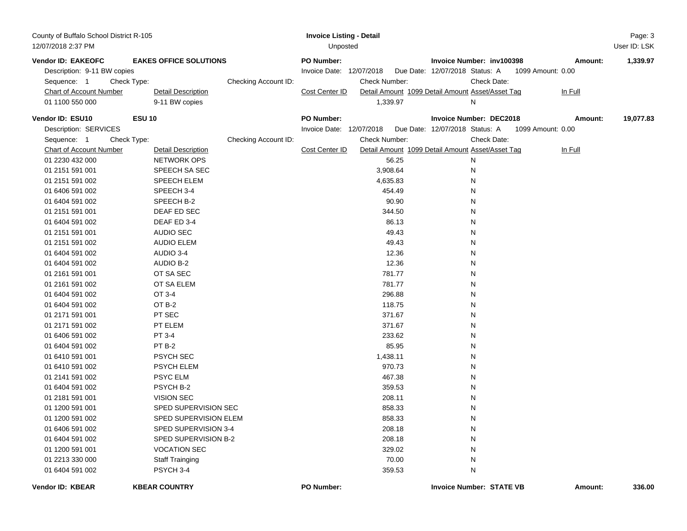| County of Buffalo School District R-105 |               |                               |                      | <b>Invoice Listing - Detail</b> |               |          |                                                  |             |                   | Page: 3      |
|-----------------------------------------|---------------|-------------------------------|----------------------|---------------------------------|---------------|----------|--------------------------------------------------|-------------|-------------------|--------------|
| 12/07/2018 2:37 PM                      |               |                               |                      | Unposted                        |               |          |                                                  |             |                   | User ID: LSK |
| Vendor ID: EAKEOFC                      |               | <b>EAKES OFFICE SOLUTIONS</b> |                      | PO Number:                      |               |          | Invoice Number: inv100398                        |             | Amount:           | 1,339.97     |
| Description: 9-11 BW copies             |               |                               |                      | Invoice Date: 12/07/2018        |               |          | Due Date: 12/07/2018 Status: A                   |             | 1099 Amount: 0.00 |              |
| Sequence: 1                             | Check Type:   |                               | Checking Account ID: |                                 | Check Number: |          |                                                  | Check Date: |                   |              |
| <b>Chart of Account Number</b>          |               | <b>Detail Description</b>     |                      | Cost Center ID                  |               |          | Detail Amount 1099 Detail Amount Asset/Asset Tag |             | In Full           |              |
| 01 1100 550 000                         |               | 9-11 BW copies                |                      |                                 |               | 1,339.97 | Ν                                                |             |                   |              |
| Vendor ID: ESU10                        | <b>ESU 10</b> |                               |                      | <b>PO Number:</b>               |               |          | <b>Invoice Number: DEC2018</b>                   |             | Amount:           | 19,077.83    |
| Description: SERVICES                   |               |                               |                      | Invoice Date: 12/07/2018        |               |          | Due Date: 12/07/2018 Status: A                   |             | 1099 Amount: 0.00 |              |
| Sequence: 1                             | Check Type:   |                               | Checking Account ID: |                                 | Check Number: |          |                                                  | Check Date: |                   |              |
| <b>Chart of Account Number</b>          |               | <b>Detail Description</b>     |                      | Cost Center ID                  |               |          | Detail Amount 1099 Detail Amount Asset/Asset Tag |             | In Full           |              |
| 01 2230 432 000                         |               | <b>NETWORK OPS</b>            |                      |                                 |               | 56.25    | N                                                |             |                   |              |
| 01 2151 591 001                         |               | SPEECH SA SEC                 |                      |                                 |               | 3,908.64 | N                                                |             |                   |              |
| 01 2151 591 002                         |               | SPEECH ELEM                   |                      |                                 |               | 4,635.83 | N                                                |             |                   |              |
| 01 6406 591 002                         |               | SPEECH 3-4                    |                      |                                 |               | 454.49   | Ν                                                |             |                   |              |
| 01 6404 591 002                         |               | SPEECH B-2                    |                      |                                 |               | 90.90    | Ν                                                |             |                   |              |
| 01 2151 591 001                         |               | DEAF ED SEC                   |                      |                                 |               | 344.50   | Ν                                                |             |                   |              |
| 01 6404 591 002                         |               | DEAF ED 3-4                   |                      |                                 |               | 86.13    | Ν                                                |             |                   |              |
| 01 2151 591 001                         |               | <b>AUDIO SEC</b>              |                      |                                 |               | 49.43    | Ν                                                |             |                   |              |
| 01 2151 591 002                         |               | <b>AUDIO ELEM</b>             |                      |                                 |               | 49.43    | Ν                                                |             |                   |              |
| 01 6404 591 002                         |               | AUDIO 3-4                     |                      |                                 |               | 12.36    | Ν                                                |             |                   |              |
| 01 6404 591 002                         |               | AUDIO B-2                     |                      |                                 |               | 12.36    | Ν                                                |             |                   |              |
| 01 2161 591 001                         |               | OT SA SEC                     |                      |                                 |               | 781.77   | Ν                                                |             |                   |              |
| 01 2161 591 002                         |               | OT SA ELEM                    |                      |                                 |               | 781.77   | Ν                                                |             |                   |              |
| 01 6404 591 002                         |               | OT 3-4                        |                      |                                 |               | 296.88   | Ν                                                |             |                   |              |
| 01 6404 591 002                         |               | OT B-2                        |                      |                                 |               | 118.75   | Ν                                                |             |                   |              |
| 01 2171 591 001                         |               | PT SEC                        |                      |                                 |               | 371.67   | Ν                                                |             |                   |              |
| 01 2171 591 002                         |               | PT ELEM                       |                      |                                 |               | 371.67   | Ν                                                |             |                   |              |
| 01 6406 591 002                         |               | PT 3-4                        |                      |                                 |               | 233.62   | N                                                |             |                   |              |
| 01 6404 591 002                         |               | PT B-2                        |                      |                                 |               | 85.95    | N                                                |             |                   |              |
| 01 6410 591 001                         |               | <b>PSYCH SEC</b>              |                      |                                 |               | 1,438.11 | N                                                |             |                   |              |
| 01 6410 591 002                         |               | <b>PSYCH ELEM</b>             |                      |                                 |               | 970.73   | N                                                |             |                   |              |
| 01 2141 591 002                         |               | <b>PSYC ELM</b>               |                      |                                 |               | 467.38   | N                                                |             |                   |              |
| 01 6404 591 002                         |               | PSYCH B-2                     |                      |                                 |               | 359.53   | N                                                |             |                   |              |
| 01 2181 591 001                         |               | <b>VISION SEC</b>             |                      |                                 |               | 208.11   | N                                                |             |                   |              |
| 01 1200 591 001                         |               | SPED SUPERVISION SEC          |                      |                                 |               | 858.33   | N                                                |             |                   |              |
| 01 1200 591 002                         |               | SPED SUPERVISION ELEM         |                      |                                 |               | 858.33   | Ν                                                |             |                   |              |
| 01 6406 591 002                         |               | SPED SUPERVISION 3-4          |                      |                                 |               | 208.18   | N                                                |             |                   |              |
| 01 6404 591 002                         |               | SPED SUPERVISION B-2          |                      |                                 |               | 208.18   | Ν                                                |             |                   |              |
| 01 1200 591 001                         |               | <b>VOCATION SEC</b>           |                      |                                 |               | 329.02   | N                                                |             |                   |              |
| 01 2213 330 000                         |               | <b>Staff Trainging</b>        |                      |                                 |               | 70.00    | N                                                |             |                   |              |
| 01 6404 591 002                         |               | PSYCH 3-4                     |                      |                                 |               | 359.53   | N                                                |             |                   |              |
| Vendor ID: KBEAR                        |               | <b>KBEAR COUNTRY</b>          |                      | PO Number:                      |               |          | <b>Invoice Number: STATE VB</b>                  |             | Amount:           | 336.00       |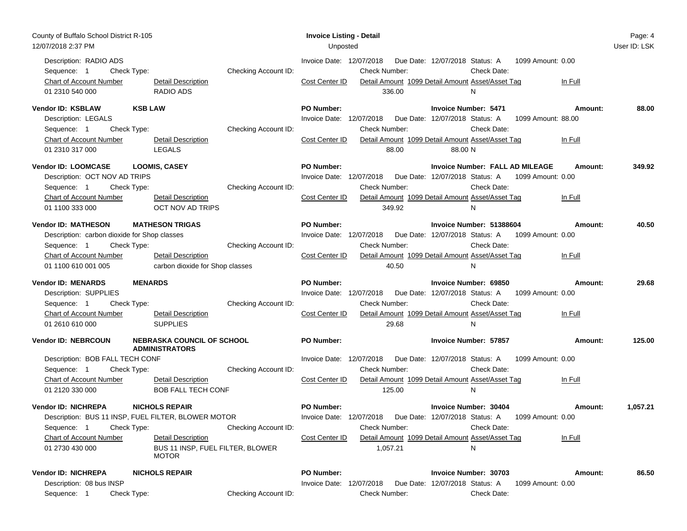| County of Buffalo School District R-105<br>12/07/2018 2:37 PM                                                                                                     |                                                                                                                 | <b>Invoice Listing - Detail</b><br>Unposted                                                                                                                                                                                                                                                 | Page: 4<br>User ID: LSK |
|-------------------------------------------------------------------------------------------------------------------------------------------------------------------|-----------------------------------------------------------------------------------------------------------------|---------------------------------------------------------------------------------------------------------------------------------------------------------------------------------------------------------------------------------------------------------------------------------------------|-------------------------|
| Description: RADIO ADS<br>Check Type:<br>Sequence: 1<br>Chart of Account Number<br>01 2310 540 000                                                                | Checking Account ID:<br>Detail Description<br><b>RADIO ADS</b>                                                  | Invoice Date: 12/07/2018<br>Due Date: 12/07/2018 Status: A<br>1099 Amount: 0.00<br><b>Check Number:</b><br>Check Date:<br>Cost Center ID<br>Detail Amount 1099 Detail Amount Asset/Asset Tag<br>In Full<br>336.00<br>N                                                                      |                         |
| Vendor ID: KSBLAW<br><b>KSB LAW</b><br>Description: LEGALS<br>Check Type:<br>Sequence: 1<br><b>Chart of Account Number</b><br>01 2310 317 000                     | Checking Account ID:<br><b>Detail Description</b><br><b>LEGALS</b>                                              | <b>PO Number:</b><br><b>Invoice Number: 5471</b><br>Amount:<br>Invoice Date: 12/07/2018<br>Due Date: 12/07/2018 Status: A<br>1099 Amount: 88.00<br><b>Check Number:</b><br>Check Date:<br>Detail Amount 1099 Detail Amount Asset/Asset Tag<br>Cost Center ID<br>In Full<br>88.00<br>88.00 N | 88.00                   |
| Vendor ID: LOOMCASE<br>Description: OCT NOV AD TRIPS<br>Check Type:<br>Sequence: 1<br>Chart of Account Number<br>01 1100 333 000                                  | <b>LOOMIS, CASEY</b><br>Checking Account ID:<br>Detail Description<br>OCT NOV AD TRIPS                          | <b>PO Number:</b><br>Invoice Number: FALL AD MILEAGE<br>Amount:<br>Invoice Date: 12/07/2018  Due Date: 12/07/2018  Status: A<br>1099 Amount: 0.00<br>Check Number:<br>Check Date:<br>Cost Center ID<br>Detail Amount 1099 Detail Amount Asset/Asset Tag<br>In Full<br>349.92<br>N           | 349.92                  |
| <b>Vendor ID: MATHESON</b><br>Description: carbon dioxide for Shop classes<br>Sequence: 1<br>Check Type:<br><b>Chart of Account Number</b><br>01 1100 610 001 005 | <b>MATHESON TRIGAS</b><br>Checking Account ID:<br><b>Detail Description</b><br>carbon dioxide for Shop classes  | PO Number:<br>Invoice Number: 51388604<br>Amount:<br>Due Date: 12/07/2018 Status: A 1099 Amount: 0.00<br>Invoice Date: 12/07/2018<br><b>Check Number:</b><br>Check Date:<br>Cost Center ID<br>Detail Amount 1099 Detail Amount Asset/Asset Tag<br>In Full<br>40.50<br>N                     | 40.50                   |
| <b>Vendor ID: MENARDS</b><br><b>MENARDS</b><br>Description: SUPPLIES<br>Sequence: 1<br>Check Type:<br>Chart of Account Number<br>01 2610 610 000                  | Checking Account ID:<br><b>Detail Description</b><br><b>SUPPLIES</b>                                            | <b>PO Number:</b><br>Invoice Number: 69850<br>Amount:<br>Invoice Date: 12/07/2018<br>Due Date: 12/07/2018 Status: A<br>1099 Amount: 0.00<br><b>Check Number:</b><br>Check Date:<br>Detail Amount 1099 Detail Amount Asset/Asset Tag<br>Cost Center ID<br>In Full<br>29.68<br>N              | 29.68                   |
| <b>Vendor ID: NEBRCOUN</b><br>Description: BOB FALL TECH CONF<br>Check Type:<br>Sequence: 1<br>Chart of Account Number                                            | <b>NEBRASKA COUNCIL OF SCHOOL</b><br><b>ADMINISTRATORS</b><br>Checking Account ID:<br><b>Detail Description</b> | <b>PO Number:</b><br><b>Invoice Number: 57857</b><br>Amount:<br>Invoice Date: 12/07/2018<br>Due Date: 12/07/2018 Status: A<br>1099 Amount: 0.00<br>Check Date:<br><b>Check Number:</b><br>Cost Center ID<br>Detail Amount 1099 Detail Amount Asset/Asset Tag<br>In Full                     | 125.00                  |
| 01 2120 330 000<br><b>Vendor ID: NICHREPA</b><br>Description: BUS 11 INSP, FUEL FILTER, BLOWER MOTOR<br>Sequence: 1<br>Check Type:                                | <b>BOB FALL TECH CONF</b><br><b>NICHOLS REPAIR</b><br>Checking Account ID:                                      | 125.00<br>N<br><b>PO Number:</b><br>Invoice Number: 30404<br>Amount:<br>Invoice Date: 12/07/2018  Due Date: 12/07/2018  Status: A  1099  Amount: 0.00<br><b>Check Number:</b><br>Check Date:                                                                                                | 1,057.21                |
| <b>Chart of Account Number</b><br>01 2730 430 000<br><b>Vendor ID: NICHREPA</b><br>Description: 08 bus INSP                                                       | <b>Detail Description</b><br>BUS 11 INSP, FUEL FILTER, BLOWER<br><b>MOTOR</b><br><b>NICHOLS REPAIR</b>          | Cost Center ID<br>Detail Amount 1099 Detail Amount Asset/Asset Tag<br>In Full<br>1,057.21<br>N<br><b>PO Number:</b><br><b>Invoice Number: 30703</b><br>Amount:<br>Invoice Date: 12/07/2018<br>Due Date: 12/07/2018 Status: A<br>1099 Amount: 0.00                                           | 86.50                   |
| Check Type:<br>Sequence: 1                                                                                                                                        | Checking Account ID:                                                                                            | Check Number:<br>Check Date:                                                                                                                                                                                                                                                                |                         |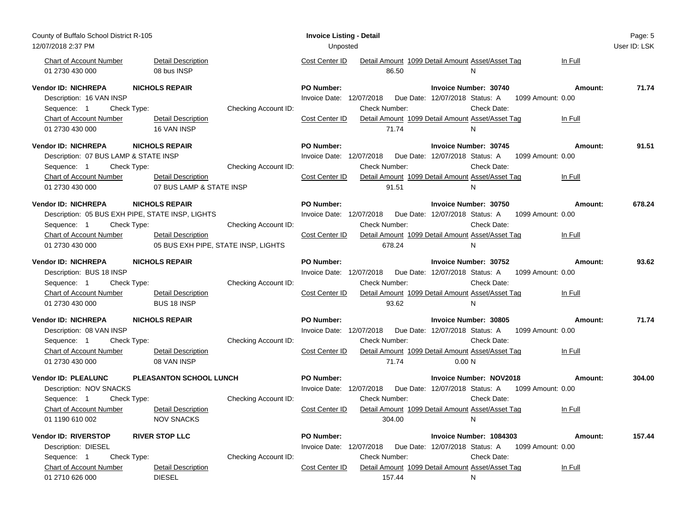| User ID: LSK<br>12/07/2018 2:37 PM<br>Unposted<br><b>Detail Description</b><br><b>Chart of Account Number</b><br>Cost Center ID<br>Detail Amount 1099 Detail Amount Asset/Asset Tag<br>In Full<br>08 bus INSP<br>01 2730 430 000<br>86.50<br>N<br><b>NICHOLS REPAIR</b><br>Vendor ID: NICHREPA<br><b>PO Number:</b><br><b>Invoice Number: 30740</b><br>71.74<br>Amount:<br>Description: 16 VAN INSP<br>Invoice Date: 12/07/2018<br>Due Date: 12/07/2018 Status: A<br>1099 Amount: 0.00<br>Checking Account ID:<br>Check Number:<br>Check Date:<br>Sequence: 1<br>Check Type:<br><b>Chart of Account Number</b><br><b>Detail Description</b><br>Cost Center ID<br>Detail Amount 1099 Detail Amount Asset/Asset Tag<br>In Full<br>01 2730 430 000<br>16 VAN INSP<br>71.74<br>N<br><b>Vendor ID: NICHREPA</b><br>PO Number:<br><b>NICHOLS REPAIR</b><br><b>Invoice Number: 30745</b><br>91.51<br>Amount:<br>Invoice Date: 12/07/2018<br>Description: 07 BUS LAMP & STATE INSP<br>Due Date: 12/07/2018 Status: A<br>1099 Amount: 0.00<br>Check Type:<br>Checking Account ID:<br>Check Number:<br>Check Date:<br>Sequence: 1<br>Cost Center ID<br>Detail Amount 1099 Detail Amount Asset/Asset Tag<br><b>Chart of Account Number</b><br><b>Detail Description</b><br>In Full<br>01 2730 430 000<br>07 BUS LAMP & STATE INSP<br>91.51<br>N<br><b>Vendor ID: NICHREPA</b><br><b>PO Number:</b><br><b>NICHOLS REPAIR</b><br><b>Invoice Number: 30750</b><br>Amount:<br>678.24<br>Description: 05 BUS EXH PIPE, STATE INSP, LIGHTS<br>Invoice Date: 12/07/2018<br>Due Date: 12/07/2018 Status: A<br>1099 Amount: 0.00<br>Checking Account ID:<br>Check Number:<br>Check Date:<br>Sequence: 1<br>Check Type:<br><b>Chart of Account Number</b><br><b>Detail Description</b><br>Cost Center ID<br>Detail Amount 1099 Detail Amount Asset/Asset Tag<br>In Full<br>05 BUS EXH PIPE, STATE INSP, LIGHTS<br>01 2730 430 000<br>678.24<br>N<br><b>PO Number:</b><br>93.62<br><b>Vendor ID: NICHREPA</b><br><b>NICHOLS REPAIR</b><br>Invoice Number: 30752<br>Amount:<br>Description: BUS 18 INSP<br>Invoice Date: 12/07/2018<br>Due Date: 12/07/2018 Status: A<br>1099 Amount: 0.00<br>Check Type:<br>Checking Account ID:<br>Check Number:<br>Check Date:<br>Sequence: 1<br>Detail Amount 1099 Detail Amount Asset/Asset Tag<br><b>Chart of Account Number</b><br><b>Detail Description</b><br>Cost Center ID<br>In Full<br>01 2730 430 000<br><b>BUS 18 INSP</b><br>93.62<br>N<br>Vendor ID: NICHREPA<br><b>NICHOLS REPAIR</b><br><b>PO Number:</b><br>Invoice Number: 30805<br>Amount:<br>71.74<br>Invoice Date: 12/07/2018<br>Description: 08 VAN INSP<br>Due Date: 12/07/2018 Status: A<br>1099 Amount: 0.00<br>Checking Account ID:<br>Check Date:<br>Sequence: 1<br>Check Type:<br><b>Check Number:</b><br><b>Chart of Account Number</b><br>Cost Center ID<br>Detail Amount 1099 Detail Amount Asset/Asset Tag<br><b>Detail Description</b><br>In Full<br>01 2730 430 000<br>08 VAN INSP<br>71.74<br>0.00 N<br>PLEASANTON SCHOOL LUNCH<br>PO Number:<br><b>Vendor ID: PLEALUNC</b><br><b>Invoice Number: NOV2018</b><br>304.00<br>Amount:<br>Description: NOV SNACKS<br>Invoice Date: 12/07/2018<br>Due Date: 12/07/2018 Status: A<br>1099 Amount: 0.00<br>Sequence: 1<br>Check Type:<br>Checking Account ID:<br>Check Number:<br>Check Date:<br><b>Chart of Account Number</b><br><b>Detail Description</b><br>Cost Center ID<br>Detail Amount 1099 Detail Amount Asset/Asset Tag<br>In Full<br><b>NOV SNACKS</b><br>01 1190 610 002<br>304.00<br>N<br>Vendor ID: RIVERSTOP<br><b>RIVER STOP LLC</b><br><b>PO Number:</b><br>Invoice Number: 1084303<br>157.44<br>Amount: | County of Buffalo School District R-105 | <b>Invoice Listing - Detail</b> |        |   | Page: 5 |
|--------------------------------------------------------------------------------------------------------------------------------------------------------------------------------------------------------------------------------------------------------------------------------------------------------------------------------------------------------------------------------------------------------------------------------------------------------------------------------------------------------------------------------------------------------------------------------------------------------------------------------------------------------------------------------------------------------------------------------------------------------------------------------------------------------------------------------------------------------------------------------------------------------------------------------------------------------------------------------------------------------------------------------------------------------------------------------------------------------------------------------------------------------------------------------------------------------------------------------------------------------------------------------------------------------------------------------------------------------------------------------------------------------------------------------------------------------------------------------------------------------------------------------------------------------------------------------------------------------------------------------------------------------------------------------------------------------------------------------------------------------------------------------------------------------------------------------------------------------------------------------------------------------------------------------------------------------------------------------------------------------------------------------------------------------------------------------------------------------------------------------------------------------------------------------------------------------------------------------------------------------------------------------------------------------------------------------------------------------------------------------------------------------------------------------------------------------------------------------------------------------------------------------------------------------------------------------------------------------------------------------------------------------------------------------------------------------------------------------------------------------------------------------------------------------------------------------------------------------------------------------------------------------------------------------------------------------------------------------------------------------------------------------------------------------------------------------------------------------------------------------------------------------------------------------------------------------------------------------------------------------------------------------------------------------------------------------------------------------------------------------------------------------------------------------------------------------------------------------------------------------------------------------------------------------------------------------------------------------------------------------------------------------------------|-----------------------------------------|---------------------------------|--------|---|---------|
|                                                                                                                                                                                                                                                                                                                                                                                                                                                                                                                                                                                                                                                                                                                                                                                                                                                                                                                                                                                                                                                                                                                                                                                                                                                                                                                                                                                                                                                                                                                                                                                                                                                                                                                                                                                                                                                                                                                                                                                                                                                                                                                                                                                                                                                                                                                                                                                                                                                                                                                                                                                                                                                                                                                                                                                                                                                                                                                                                                                                                                                                                                                                                                                                                                                                                                                                                                                                                                                                                                                                                                                                                                                                    |                                         |                                 |        |   |         |
|                                                                                                                                                                                                                                                                                                                                                                                                                                                                                                                                                                                                                                                                                                                                                                                                                                                                                                                                                                                                                                                                                                                                                                                                                                                                                                                                                                                                                                                                                                                                                                                                                                                                                                                                                                                                                                                                                                                                                                                                                                                                                                                                                                                                                                                                                                                                                                                                                                                                                                                                                                                                                                                                                                                                                                                                                                                                                                                                                                                                                                                                                                                                                                                                                                                                                                                                                                                                                                                                                                                                                                                                                                                                    |                                         |                                 |        |   |         |
|                                                                                                                                                                                                                                                                                                                                                                                                                                                                                                                                                                                                                                                                                                                                                                                                                                                                                                                                                                                                                                                                                                                                                                                                                                                                                                                                                                                                                                                                                                                                                                                                                                                                                                                                                                                                                                                                                                                                                                                                                                                                                                                                                                                                                                                                                                                                                                                                                                                                                                                                                                                                                                                                                                                                                                                                                                                                                                                                                                                                                                                                                                                                                                                                                                                                                                                                                                                                                                                                                                                                                                                                                                                                    |                                         |                                 |        |   |         |
|                                                                                                                                                                                                                                                                                                                                                                                                                                                                                                                                                                                                                                                                                                                                                                                                                                                                                                                                                                                                                                                                                                                                                                                                                                                                                                                                                                                                                                                                                                                                                                                                                                                                                                                                                                                                                                                                                                                                                                                                                                                                                                                                                                                                                                                                                                                                                                                                                                                                                                                                                                                                                                                                                                                                                                                                                                                                                                                                                                                                                                                                                                                                                                                                                                                                                                                                                                                                                                                                                                                                                                                                                                                                    |                                         |                                 |        |   |         |
|                                                                                                                                                                                                                                                                                                                                                                                                                                                                                                                                                                                                                                                                                                                                                                                                                                                                                                                                                                                                                                                                                                                                                                                                                                                                                                                                                                                                                                                                                                                                                                                                                                                                                                                                                                                                                                                                                                                                                                                                                                                                                                                                                                                                                                                                                                                                                                                                                                                                                                                                                                                                                                                                                                                                                                                                                                                                                                                                                                                                                                                                                                                                                                                                                                                                                                                                                                                                                                                                                                                                                                                                                                                                    |                                         |                                 |        |   |         |
|                                                                                                                                                                                                                                                                                                                                                                                                                                                                                                                                                                                                                                                                                                                                                                                                                                                                                                                                                                                                                                                                                                                                                                                                                                                                                                                                                                                                                                                                                                                                                                                                                                                                                                                                                                                                                                                                                                                                                                                                                                                                                                                                                                                                                                                                                                                                                                                                                                                                                                                                                                                                                                                                                                                                                                                                                                                                                                                                                                                                                                                                                                                                                                                                                                                                                                                                                                                                                                                                                                                                                                                                                                                                    |                                         |                                 |        |   |         |
|                                                                                                                                                                                                                                                                                                                                                                                                                                                                                                                                                                                                                                                                                                                                                                                                                                                                                                                                                                                                                                                                                                                                                                                                                                                                                                                                                                                                                                                                                                                                                                                                                                                                                                                                                                                                                                                                                                                                                                                                                                                                                                                                                                                                                                                                                                                                                                                                                                                                                                                                                                                                                                                                                                                                                                                                                                                                                                                                                                                                                                                                                                                                                                                                                                                                                                                                                                                                                                                                                                                                                                                                                                                                    |                                         |                                 |        |   |         |
|                                                                                                                                                                                                                                                                                                                                                                                                                                                                                                                                                                                                                                                                                                                                                                                                                                                                                                                                                                                                                                                                                                                                                                                                                                                                                                                                                                                                                                                                                                                                                                                                                                                                                                                                                                                                                                                                                                                                                                                                                                                                                                                                                                                                                                                                                                                                                                                                                                                                                                                                                                                                                                                                                                                                                                                                                                                                                                                                                                                                                                                                                                                                                                                                                                                                                                                                                                                                                                                                                                                                                                                                                                                                    |                                         |                                 |        |   |         |
|                                                                                                                                                                                                                                                                                                                                                                                                                                                                                                                                                                                                                                                                                                                                                                                                                                                                                                                                                                                                                                                                                                                                                                                                                                                                                                                                                                                                                                                                                                                                                                                                                                                                                                                                                                                                                                                                                                                                                                                                                                                                                                                                                                                                                                                                                                                                                                                                                                                                                                                                                                                                                                                                                                                                                                                                                                                                                                                                                                                                                                                                                                                                                                                                                                                                                                                                                                                                                                                                                                                                                                                                                                                                    |                                         |                                 |        |   |         |
|                                                                                                                                                                                                                                                                                                                                                                                                                                                                                                                                                                                                                                                                                                                                                                                                                                                                                                                                                                                                                                                                                                                                                                                                                                                                                                                                                                                                                                                                                                                                                                                                                                                                                                                                                                                                                                                                                                                                                                                                                                                                                                                                                                                                                                                                                                                                                                                                                                                                                                                                                                                                                                                                                                                                                                                                                                                                                                                                                                                                                                                                                                                                                                                                                                                                                                                                                                                                                                                                                                                                                                                                                                                                    |                                         |                                 |        |   |         |
|                                                                                                                                                                                                                                                                                                                                                                                                                                                                                                                                                                                                                                                                                                                                                                                                                                                                                                                                                                                                                                                                                                                                                                                                                                                                                                                                                                                                                                                                                                                                                                                                                                                                                                                                                                                                                                                                                                                                                                                                                                                                                                                                                                                                                                                                                                                                                                                                                                                                                                                                                                                                                                                                                                                                                                                                                                                                                                                                                                                                                                                                                                                                                                                                                                                                                                                                                                                                                                                                                                                                                                                                                                                                    |                                         |                                 |        |   |         |
|                                                                                                                                                                                                                                                                                                                                                                                                                                                                                                                                                                                                                                                                                                                                                                                                                                                                                                                                                                                                                                                                                                                                                                                                                                                                                                                                                                                                                                                                                                                                                                                                                                                                                                                                                                                                                                                                                                                                                                                                                                                                                                                                                                                                                                                                                                                                                                                                                                                                                                                                                                                                                                                                                                                                                                                                                                                                                                                                                                                                                                                                                                                                                                                                                                                                                                                                                                                                                                                                                                                                                                                                                                                                    |                                         |                                 |        |   |         |
|                                                                                                                                                                                                                                                                                                                                                                                                                                                                                                                                                                                                                                                                                                                                                                                                                                                                                                                                                                                                                                                                                                                                                                                                                                                                                                                                                                                                                                                                                                                                                                                                                                                                                                                                                                                                                                                                                                                                                                                                                                                                                                                                                                                                                                                                                                                                                                                                                                                                                                                                                                                                                                                                                                                                                                                                                                                                                                                                                                                                                                                                                                                                                                                                                                                                                                                                                                                                                                                                                                                                                                                                                                                                    |                                         |                                 |        |   |         |
|                                                                                                                                                                                                                                                                                                                                                                                                                                                                                                                                                                                                                                                                                                                                                                                                                                                                                                                                                                                                                                                                                                                                                                                                                                                                                                                                                                                                                                                                                                                                                                                                                                                                                                                                                                                                                                                                                                                                                                                                                                                                                                                                                                                                                                                                                                                                                                                                                                                                                                                                                                                                                                                                                                                                                                                                                                                                                                                                                                                                                                                                                                                                                                                                                                                                                                                                                                                                                                                                                                                                                                                                                                                                    |                                         |                                 |        |   |         |
|                                                                                                                                                                                                                                                                                                                                                                                                                                                                                                                                                                                                                                                                                                                                                                                                                                                                                                                                                                                                                                                                                                                                                                                                                                                                                                                                                                                                                                                                                                                                                                                                                                                                                                                                                                                                                                                                                                                                                                                                                                                                                                                                                                                                                                                                                                                                                                                                                                                                                                                                                                                                                                                                                                                                                                                                                                                                                                                                                                                                                                                                                                                                                                                                                                                                                                                                                                                                                                                                                                                                                                                                                                                                    |                                         |                                 |        |   |         |
|                                                                                                                                                                                                                                                                                                                                                                                                                                                                                                                                                                                                                                                                                                                                                                                                                                                                                                                                                                                                                                                                                                                                                                                                                                                                                                                                                                                                                                                                                                                                                                                                                                                                                                                                                                                                                                                                                                                                                                                                                                                                                                                                                                                                                                                                                                                                                                                                                                                                                                                                                                                                                                                                                                                                                                                                                                                                                                                                                                                                                                                                                                                                                                                                                                                                                                                                                                                                                                                                                                                                                                                                                                                                    |                                         |                                 |        |   |         |
|                                                                                                                                                                                                                                                                                                                                                                                                                                                                                                                                                                                                                                                                                                                                                                                                                                                                                                                                                                                                                                                                                                                                                                                                                                                                                                                                                                                                                                                                                                                                                                                                                                                                                                                                                                                                                                                                                                                                                                                                                                                                                                                                                                                                                                                                                                                                                                                                                                                                                                                                                                                                                                                                                                                                                                                                                                                                                                                                                                                                                                                                                                                                                                                                                                                                                                                                                                                                                                                                                                                                                                                                                                                                    |                                         |                                 |        |   |         |
|                                                                                                                                                                                                                                                                                                                                                                                                                                                                                                                                                                                                                                                                                                                                                                                                                                                                                                                                                                                                                                                                                                                                                                                                                                                                                                                                                                                                                                                                                                                                                                                                                                                                                                                                                                                                                                                                                                                                                                                                                                                                                                                                                                                                                                                                                                                                                                                                                                                                                                                                                                                                                                                                                                                                                                                                                                                                                                                                                                                                                                                                                                                                                                                                                                                                                                                                                                                                                                                                                                                                                                                                                                                                    |                                         |                                 |        |   |         |
|                                                                                                                                                                                                                                                                                                                                                                                                                                                                                                                                                                                                                                                                                                                                                                                                                                                                                                                                                                                                                                                                                                                                                                                                                                                                                                                                                                                                                                                                                                                                                                                                                                                                                                                                                                                                                                                                                                                                                                                                                                                                                                                                                                                                                                                                                                                                                                                                                                                                                                                                                                                                                                                                                                                                                                                                                                                                                                                                                                                                                                                                                                                                                                                                                                                                                                                                                                                                                                                                                                                                                                                                                                                                    |                                         |                                 |        |   |         |
|                                                                                                                                                                                                                                                                                                                                                                                                                                                                                                                                                                                                                                                                                                                                                                                                                                                                                                                                                                                                                                                                                                                                                                                                                                                                                                                                                                                                                                                                                                                                                                                                                                                                                                                                                                                                                                                                                                                                                                                                                                                                                                                                                                                                                                                                                                                                                                                                                                                                                                                                                                                                                                                                                                                                                                                                                                                                                                                                                                                                                                                                                                                                                                                                                                                                                                                                                                                                                                                                                                                                                                                                                                                                    |                                         |                                 |        |   |         |
|                                                                                                                                                                                                                                                                                                                                                                                                                                                                                                                                                                                                                                                                                                                                                                                                                                                                                                                                                                                                                                                                                                                                                                                                                                                                                                                                                                                                                                                                                                                                                                                                                                                                                                                                                                                                                                                                                                                                                                                                                                                                                                                                                                                                                                                                                                                                                                                                                                                                                                                                                                                                                                                                                                                                                                                                                                                                                                                                                                                                                                                                                                                                                                                                                                                                                                                                                                                                                                                                                                                                                                                                                                                                    |                                         |                                 |        |   |         |
|                                                                                                                                                                                                                                                                                                                                                                                                                                                                                                                                                                                                                                                                                                                                                                                                                                                                                                                                                                                                                                                                                                                                                                                                                                                                                                                                                                                                                                                                                                                                                                                                                                                                                                                                                                                                                                                                                                                                                                                                                                                                                                                                                                                                                                                                                                                                                                                                                                                                                                                                                                                                                                                                                                                                                                                                                                                                                                                                                                                                                                                                                                                                                                                                                                                                                                                                                                                                                                                                                                                                                                                                                                                                    |                                         |                                 |        |   |         |
|                                                                                                                                                                                                                                                                                                                                                                                                                                                                                                                                                                                                                                                                                                                                                                                                                                                                                                                                                                                                                                                                                                                                                                                                                                                                                                                                                                                                                                                                                                                                                                                                                                                                                                                                                                                                                                                                                                                                                                                                                                                                                                                                                                                                                                                                                                                                                                                                                                                                                                                                                                                                                                                                                                                                                                                                                                                                                                                                                                                                                                                                                                                                                                                                                                                                                                                                                                                                                                                                                                                                                                                                                                                                    |                                         |                                 |        |   |         |
|                                                                                                                                                                                                                                                                                                                                                                                                                                                                                                                                                                                                                                                                                                                                                                                                                                                                                                                                                                                                                                                                                                                                                                                                                                                                                                                                                                                                                                                                                                                                                                                                                                                                                                                                                                                                                                                                                                                                                                                                                                                                                                                                                                                                                                                                                                                                                                                                                                                                                                                                                                                                                                                                                                                                                                                                                                                                                                                                                                                                                                                                                                                                                                                                                                                                                                                                                                                                                                                                                                                                                                                                                                                                    |                                         |                                 |        |   |         |
|                                                                                                                                                                                                                                                                                                                                                                                                                                                                                                                                                                                                                                                                                                                                                                                                                                                                                                                                                                                                                                                                                                                                                                                                                                                                                                                                                                                                                                                                                                                                                                                                                                                                                                                                                                                                                                                                                                                                                                                                                                                                                                                                                                                                                                                                                                                                                                                                                                                                                                                                                                                                                                                                                                                                                                                                                                                                                                                                                                                                                                                                                                                                                                                                                                                                                                                                                                                                                                                                                                                                                                                                                                                                    |                                         |                                 |        |   |         |
|                                                                                                                                                                                                                                                                                                                                                                                                                                                                                                                                                                                                                                                                                                                                                                                                                                                                                                                                                                                                                                                                                                                                                                                                                                                                                                                                                                                                                                                                                                                                                                                                                                                                                                                                                                                                                                                                                                                                                                                                                                                                                                                                                                                                                                                                                                                                                                                                                                                                                                                                                                                                                                                                                                                                                                                                                                                                                                                                                                                                                                                                                                                                                                                                                                                                                                                                                                                                                                                                                                                                                                                                                                                                    |                                         |                                 |        |   |         |
|                                                                                                                                                                                                                                                                                                                                                                                                                                                                                                                                                                                                                                                                                                                                                                                                                                                                                                                                                                                                                                                                                                                                                                                                                                                                                                                                                                                                                                                                                                                                                                                                                                                                                                                                                                                                                                                                                                                                                                                                                                                                                                                                                                                                                                                                                                                                                                                                                                                                                                                                                                                                                                                                                                                                                                                                                                                                                                                                                                                                                                                                                                                                                                                                                                                                                                                                                                                                                                                                                                                                                                                                                                                                    |                                         |                                 |        |   |         |
|                                                                                                                                                                                                                                                                                                                                                                                                                                                                                                                                                                                                                                                                                                                                                                                                                                                                                                                                                                                                                                                                                                                                                                                                                                                                                                                                                                                                                                                                                                                                                                                                                                                                                                                                                                                                                                                                                                                                                                                                                                                                                                                                                                                                                                                                                                                                                                                                                                                                                                                                                                                                                                                                                                                                                                                                                                                                                                                                                                                                                                                                                                                                                                                                                                                                                                                                                                                                                                                                                                                                                                                                                                                                    |                                         |                                 |        |   |         |
|                                                                                                                                                                                                                                                                                                                                                                                                                                                                                                                                                                                                                                                                                                                                                                                                                                                                                                                                                                                                                                                                                                                                                                                                                                                                                                                                                                                                                                                                                                                                                                                                                                                                                                                                                                                                                                                                                                                                                                                                                                                                                                                                                                                                                                                                                                                                                                                                                                                                                                                                                                                                                                                                                                                                                                                                                                                                                                                                                                                                                                                                                                                                                                                                                                                                                                                                                                                                                                                                                                                                                                                                                                                                    |                                         |                                 |        |   |         |
|                                                                                                                                                                                                                                                                                                                                                                                                                                                                                                                                                                                                                                                                                                                                                                                                                                                                                                                                                                                                                                                                                                                                                                                                                                                                                                                                                                                                                                                                                                                                                                                                                                                                                                                                                                                                                                                                                                                                                                                                                                                                                                                                                                                                                                                                                                                                                                                                                                                                                                                                                                                                                                                                                                                                                                                                                                                                                                                                                                                                                                                                                                                                                                                                                                                                                                                                                                                                                                                                                                                                                                                                                                                                    |                                         |                                 |        |   |         |
|                                                                                                                                                                                                                                                                                                                                                                                                                                                                                                                                                                                                                                                                                                                                                                                                                                                                                                                                                                                                                                                                                                                                                                                                                                                                                                                                                                                                                                                                                                                                                                                                                                                                                                                                                                                                                                                                                                                                                                                                                                                                                                                                                                                                                                                                                                                                                                                                                                                                                                                                                                                                                                                                                                                                                                                                                                                                                                                                                                                                                                                                                                                                                                                                                                                                                                                                                                                                                                                                                                                                                                                                                                                                    |                                         |                                 |        |   |         |
|                                                                                                                                                                                                                                                                                                                                                                                                                                                                                                                                                                                                                                                                                                                                                                                                                                                                                                                                                                                                                                                                                                                                                                                                                                                                                                                                                                                                                                                                                                                                                                                                                                                                                                                                                                                                                                                                                                                                                                                                                                                                                                                                                                                                                                                                                                                                                                                                                                                                                                                                                                                                                                                                                                                                                                                                                                                                                                                                                                                                                                                                                                                                                                                                                                                                                                                                                                                                                                                                                                                                                                                                                                                                    |                                         |                                 |        |   |         |
|                                                                                                                                                                                                                                                                                                                                                                                                                                                                                                                                                                                                                                                                                                                                                                                                                                                                                                                                                                                                                                                                                                                                                                                                                                                                                                                                                                                                                                                                                                                                                                                                                                                                                                                                                                                                                                                                                                                                                                                                                                                                                                                                                                                                                                                                                                                                                                                                                                                                                                                                                                                                                                                                                                                                                                                                                                                                                                                                                                                                                                                                                                                                                                                                                                                                                                                                                                                                                                                                                                                                                                                                                                                                    |                                         |                                 |        |   |         |
|                                                                                                                                                                                                                                                                                                                                                                                                                                                                                                                                                                                                                                                                                                                                                                                                                                                                                                                                                                                                                                                                                                                                                                                                                                                                                                                                                                                                                                                                                                                                                                                                                                                                                                                                                                                                                                                                                                                                                                                                                                                                                                                                                                                                                                                                                                                                                                                                                                                                                                                                                                                                                                                                                                                                                                                                                                                                                                                                                                                                                                                                                                                                                                                                                                                                                                                                                                                                                                                                                                                                                                                                                                                                    |                                         |                                 |        |   |         |
|                                                                                                                                                                                                                                                                                                                                                                                                                                                                                                                                                                                                                                                                                                                                                                                                                                                                                                                                                                                                                                                                                                                                                                                                                                                                                                                                                                                                                                                                                                                                                                                                                                                                                                                                                                                                                                                                                                                                                                                                                                                                                                                                                                                                                                                                                                                                                                                                                                                                                                                                                                                                                                                                                                                                                                                                                                                                                                                                                                                                                                                                                                                                                                                                                                                                                                                                                                                                                                                                                                                                                                                                                                                                    |                                         |                                 |        |   |         |
| Invoice Date: 12/07/2018<br>Due Date: 12/07/2018 Status: A<br>1099 Amount: 0.00                                                                                                                                                                                                                                                                                                                                                                                                                                                                                                                                                                                                                                                                                                                                                                                                                                                                                                                                                                                                                                                                                                                                                                                                                                                                                                                                                                                                                                                                                                                                                                                                                                                                                                                                                                                                                                                                                                                                                                                                                                                                                                                                                                                                                                                                                                                                                                                                                                                                                                                                                                                                                                                                                                                                                                                                                                                                                                                                                                                                                                                                                                                                                                                                                                                                                                                                                                                                                                                                                                                                                                                    |                                         |                                 |        |   |         |
| Description: DIESEL<br>Check Date:<br>Check Number:                                                                                                                                                                                                                                                                                                                                                                                                                                                                                                                                                                                                                                                                                                                                                                                                                                                                                                                                                                                                                                                                                                                                                                                                                                                                                                                                                                                                                                                                                                                                                                                                                                                                                                                                                                                                                                                                                                                                                                                                                                                                                                                                                                                                                                                                                                                                                                                                                                                                                                                                                                                                                                                                                                                                                                                                                                                                                                                                                                                                                                                                                                                                                                                                                                                                                                                                                                                                                                                                                                                                                                                                                |                                         |                                 |        |   |         |
| Sequence: 1<br>Check Type:<br>Checking Account ID:<br>Detail Amount 1099 Detail Amount Asset/Asset Tag<br>Chart of Account Number<br><b>Detail Description</b><br>Cost Center ID<br>In Full                                                                                                                                                                                                                                                                                                                                                                                                                                                                                                                                                                                                                                                                                                                                                                                                                                                                                                                                                                                                                                                                                                                                                                                                                                                                                                                                                                                                                                                                                                                                                                                                                                                                                                                                                                                                                                                                                                                                                                                                                                                                                                                                                                                                                                                                                                                                                                                                                                                                                                                                                                                                                                                                                                                                                                                                                                                                                                                                                                                                                                                                                                                                                                                                                                                                                                                                                                                                                                                                        |                                         |                                 |        |   |         |
|                                                                                                                                                                                                                                                                                                                                                                                                                                                                                                                                                                                                                                                                                                                                                                                                                                                                                                                                                                                                                                                                                                                                                                                                                                                                                                                                                                                                                                                                                                                                                                                                                                                                                                                                                                                                                                                                                                                                                                                                                                                                                                                                                                                                                                                                                                                                                                                                                                                                                                                                                                                                                                                                                                                                                                                                                                                                                                                                                                                                                                                                                                                                                                                                                                                                                                                                                                                                                                                                                                                                                                                                                                                                    | 01 2710 626 000<br><b>DIESEL</b>        |                                 | 157.44 | N |         |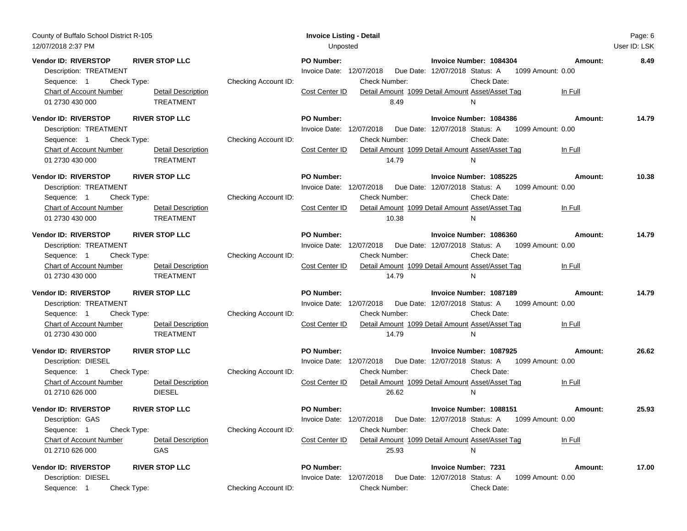| County of Buffalo School District R-105<br>12/07/2018 2:37 PM                                                                            |                                                                                             | <b>Invoice Listing - Detail</b><br>Unposted                                                      |                                                                                                                                                                                  |                    | Page: 6<br>User ID: LSK |
|------------------------------------------------------------------------------------------------------------------------------------------|---------------------------------------------------------------------------------------------|--------------------------------------------------------------------------------------------------|----------------------------------------------------------------------------------------------------------------------------------------------------------------------------------|--------------------|-------------------------|
| <b>Vendor ID: RIVERSTOP</b><br>Description: TREATMENT<br>Check Type:<br>Sequence: 1<br><b>Chart of Account Number</b><br>01 2730 430 000 | <b>RIVER STOP LLC</b><br>Checking Account ID:<br><b>Detail Description</b><br>TREATMENT     | <b>PO Number:</b><br>Invoice Date: 12/07/2018<br>Check Number:<br>Cost Center ID<br>8.49         | Invoice Number: 1084304<br>Due Date: 12/07/2018 Status: A 1099 Amount: 0.00<br>Check Date:<br>Detail Amount 1099 Detail Amount Asset/Asset Tag<br>N                              | Amount:<br>In Full | 8.49                    |
| Vendor ID: RIVERSTOP<br>Description: TREATMENT<br>Sequence: 1<br>Check Type:<br>Chart of Account Number<br>01 2730 430 000               | <b>RIVER STOP LLC</b><br>Checking Account ID:<br>Detail Description<br>TREATMENT            | <b>PO Number:</b><br>Invoice Date: 12/07/2018<br><b>Check Number:</b><br>Cost Center ID<br>14.79 | Invoice Number: 1084386<br>Due Date: 12/07/2018 Status: A<br>1099 Amount: 0.00<br>Check Date:<br>Detail Amount 1099 Detail Amount Asset/Asset Tag<br>N                           | Amount:<br>In Full | 14.79                   |
| <b>Vendor ID: RIVERSTOP</b><br>Description: TREATMENT<br>Check Type:<br>Sequence: 1<br>Chart of Account Number<br>01 2730 430 000        | <b>RIVER STOP LLC</b><br>Checking Account ID:<br><b>Detail Description</b><br>TREATMENT     | <b>PO Number:</b><br>Invoice Date: 12/07/2018<br><b>Check Number:</b><br>Cost Center ID<br>10.38 | Invoice Number: 1085225<br>Due Date: 12/07/2018 Status: A 1099 Amount: 0.00<br>Check Date:<br>Detail Amount 1099 Detail Amount Asset/Asset Tag<br>N.                             | Amount:<br>In Full | 10.38                   |
| Vendor ID: RIVERSTOP<br>Description: TREATMENT<br>Sequence: 1<br>Check Type:<br><b>Chart of Account Number</b><br>01 2730 430 000        | <b>RIVER STOP LLC</b><br>Checking Account ID:<br>Detail Description<br>TREATMENT            | <b>PO Number:</b><br>Invoice Date: 12/07/2018<br><b>Check Number:</b><br>Cost Center ID<br>14.79 | Invoice Number: 1086360<br>Due Date: 12/07/2018 Status: A<br>1099 Amount: 0.00<br>Check Date:<br>Detail Amount 1099 Detail Amount Asset/Asset Tag<br>N                           | Amount:<br>In Full | 14.79                   |
| Vendor ID: RIVERSTOP<br>Description: TREATMENT<br>Sequence: 1<br>Check Type:<br><b>Chart of Account Number</b><br>01 2730 430 000        | <b>RIVER STOP LLC</b><br>Checking Account ID:<br><b>Detail Description</b><br>TREATMENT     | <b>PO Number:</b><br>Invoice Date: 12/07/2018<br><b>Check Number:</b><br>Cost Center ID<br>14.79 | Invoice Number: 1087189<br>Due Date: 12/07/2018 Status: A 1099 Amount: 0.00<br>Check Date:<br>Detail Amount 1099 Detail Amount Asset/Asset Tag<br>N                              | Amount:<br>In Full | 14.79                   |
| <b>Vendor ID: RIVERSTOP</b><br>Description: DIESEL<br>Sequence: 1<br>Check Type:<br>Chart of Account Number<br>01 2710 626 000           | <b>RIVER STOP LLC</b><br>Checking Account ID:<br><b>Detail Description</b><br><b>DIESEL</b> | <b>PO Number:</b><br>Invoice Date: 12/07/2018<br><b>Check Number:</b><br>Cost Center ID<br>26.62 | Invoice Number: 1087925<br>Due Date: 12/07/2018 Status: A 1099 Amount: 0.00<br>Check Date:<br>Detail Amount 1099 Detail Amount Asset/Asset Tag<br>N.                             | Amount:<br>In Full | 26.62                   |
| <b>Vendor ID: RIVERSTOP</b><br>Description: GAS<br>Sequence: 1<br>Check Type:<br><b>Chart of Account Number</b><br>01 2710 626 000       | <b>RIVER STOP LLC</b><br>Checking Account ID:<br><b>Detail Description</b><br>GAS           | <b>PO Number:</b><br>Check Number:<br>Cost Center ID<br>25.93                                    | Invoice Number: 1088151<br>Invoice Date: 12/07/2018  Due Date: 12/07/2018  Status: A  1099  Amount: 0.00<br>Check Date:<br>Detail Amount 1099 Detail Amount Asset/Asset Tag<br>N | Amount:<br>In Full | 25.93                   |
| Vendor ID: RIVERSTOP<br>Description: DIESEL<br>Sequence: 1<br>Check Type:                                                                | <b>RIVER STOP LLC</b><br>Checking Account ID:                                               | PO Number:<br>Invoice Date: 12/07/2018<br>Check Number:                                          | <b>Invoice Number: 7231</b><br>Due Date: 12/07/2018 Status: A<br>1099 Amount: 0.00<br>Check Date:                                                                                | Amount:            | 17.00                   |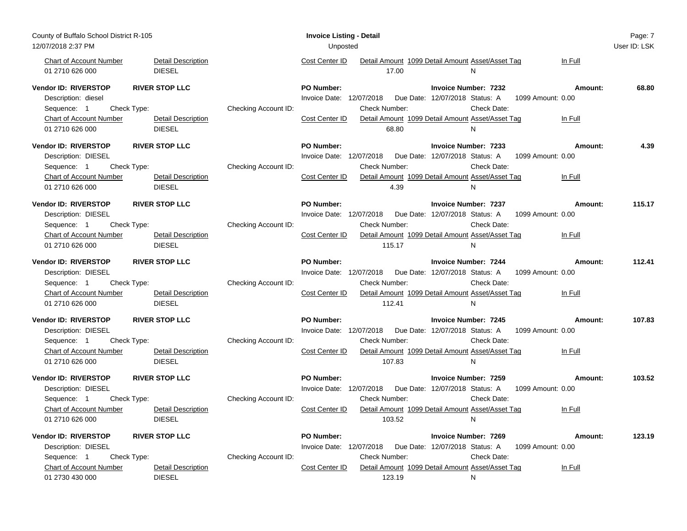| County of Buffalo School District R-105 |                           |                      | <b>Invoice Listing - Detail</b>                                                 | Page: 7      |
|-----------------------------------------|---------------------------|----------------------|---------------------------------------------------------------------------------|--------------|
| 12/07/2018 2:37 PM                      |                           |                      | Unposted                                                                        | User ID: LSK |
| <b>Chart of Account Number</b>          | <b>Detail Description</b> |                      | Detail Amount 1099 Detail Amount Asset/Asset Tag<br>Cost Center ID<br>In Full   |              |
| 01 2710 626 000                         | <b>DIESEL</b>             |                      | 17.00<br>N                                                                      |              |
| <b>Vendor ID: RIVERSTOP</b>             | <b>RIVER STOP LLC</b>     |                      | <b>PO Number:</b><br><b>Invoice Number: 7232</b><br>Amount:                     | 68.80        |
| Description: diesel                     |                           |                      | Invoice Date: 12/07/2018  Due Date: 12/07/2018  Status: A<br>1099 Amount: 0.00  |              |
| Check Type:<br>Sequence: 1              |                           | Checking Account ID: | Check Number:<br>Check Date:                                                    |              |
| Chart of Account Number                 | <b>Detail Description</b> |                      | Cost Center ID<br>Detail Amount 1099 Detail Amount Asset/Asset Tag<br>In Full   |              |
| 01 2710 626 000                         | <b>DIESEL</b>             |                      | 68.80<br>N                                                                      |              |
| Vendor ID: RIVERSTOP                    | <b>RIVER STOP LLC</b>     |                      | <b>PO Number:</b><br><b>Invoice Number: 7233</b><br>Amount:                     | 4.39         |
| Description: DIESEL                     |                           |                      | Invoice Date: 12/07/2018  Due Date: 12/07/2018  Status: A<br>1099 Amount: 0.00  |              |
| Check Type:<br>Sequence: 1              |                           | Checking Account ID: | Check Number:<br>Check Date:                                                    |              |
| <b>Chart of Account Number</b>          | <b>Detail Description</b> |                      | Cost Center ID<br>Detail Amount 1099 Detail Amount Asset/Asset Tag<br>In Full   |              |
| 01 2710 626 000                         | <b>DIESEL</b>             |                      | 4.39<br>N                                                                       |              |
| Vendor ID: RIVERSTOP                    | <b>RIVER STOP LLC</b>     |                      | <b>PO Number:</b><br><b>Invoice Number: 7237</b><br>Amount:                     | 115.17       |
| Description: DIESEL                     |                           |                      | Invoice Date: 12/07/2018  Due Date: 12/07/2018  Status: A<br>1099 Amount: 0.00  |              |
| Check Type:<br>Sequence: 1              |                           | Checking Account ID: | Check Number:<br>Check Date:                                                    |              |
| <b>Chart of Account Number</b>          | <b>Detail Description</b> |                      | Cost Center ID<br>Detail Amount 1099 Detail Amount Asset/Asset Tag<br>In Full   |              |
| 01 2710 626 000                         | <b>DIESEL</b>             |                      | 115.17<br>N                                                                     |              |
|                                         |                           |                      |                                                                                 |              |
| Vendor ID: RIVERSTOP                    | <b>RIVER STOP LLC</b>     |                      | <b>PO Number:</b><br><b>Invoice Number: 7244</b><br>Amount:                     | 112.41       |
| Description: DIESEL                     |                           |                      | Invoice Date: 12/07/2018<br>Due Date: 12/07/2018 Status: A<br>1099 Amount: 0.00 |              |
| Check Type:<br>Sequence: 1              |                           | Checking Account ID: | Check Number:<br>Check Date:                                                    |              |
| <b>Chart of Account Number</b>          | <b>Detail Description</b> |                      | Detail Amount 1099 Detail Amount Asset/Asset Tag<br>Cost Center ID<br>In Full   |              |
| 01 2710 626 000                         | <b>DIESEL</b>             |                      | 112.41<br>N                                                                     |              |
| Vendor ID: RIVERSTOP                    | <b>RIVER STOP LLC</b>     |                      | <b>PO Number:</b><br><b>Invoice Number: 7245</b><br>Amount:                     | 107.83       |
| Description: DIESEL                     |                           |                      | Invoice Date: 12/07/2018<br>Due Date: 12/07/2018 Status: A<br>1099 Amount: 0.00 |              |
| Check Type:<br>Sequence: 1              |                           | Checking Account ID: | Check Date:<br>Check Number:                                                    |              |
| <b>Chart of Account Number</b>          | <b>Detail Description</b> |                      | Cost Center ID<br>Detail Amount 1099 Detail Amount Asset/Asset Tag<br>In Full   |              |
| 01 2710 626 000                         | <b>DIESEL</b>             |                      | 107.83<br>N                                                                     |              |
| Vendor ID: RIVERSTOP                    | <b>RIVER STOP LLC</b>     |                      | <b>PO Number:</b><br><b>Invoice Number: 7259</b><br>Amount:                     | 103.52       |
| Description: DIESEL                     |                           |                      | Invoice Date: 12/07/2018<br>Due Date: 12/07/2018 Status: A<br>1099 Amount: 0.00 |              |
| Check Type:<br>Sequence: 1              |                           | Checking Account ID: | Check Number:<br>Check Date:                                                    |              |
| Chart of Account Number                 | <b>Detail Description</b> |                      | Cost Center ID<br>Detail Amount 1099 Detail Amount Asset/Asset Tag<br>In Full   |              |
| 01 2710 626 000                         | <b>DIESEL</b>             |                      | 103.52<br>N                                                                     |              |
| Vendor ID: RIVERSTOP                    | <b>RIVER STOP LLC</b>     |                      | <b>PO Number:</b><br>Invoice Number: 7269<br>Amount:                            | 123.19       |
| Description: DIESEL                     |                           |                      | Invoice Date: 12/07/2018  Due Date: 12/07/2018  Status: A<br>1099 Amount: 0.00  |              |
| Sequence: 1<br>Check Type:              |                           | Checking Account ID: | Check Date:<br>Check Number:                                                    |              |
| <b>Chart of Account Number</b>          | <b>Detail Description</b> |                      | Detail Amount 1099 Detail Amount Asset/Asset Tag<br>Cost Center ID<br>In Full   |              |
| 01 2730 430 000                         | <b>DIESEL</b>             |                      | 123.19<br>N                                                                     |              |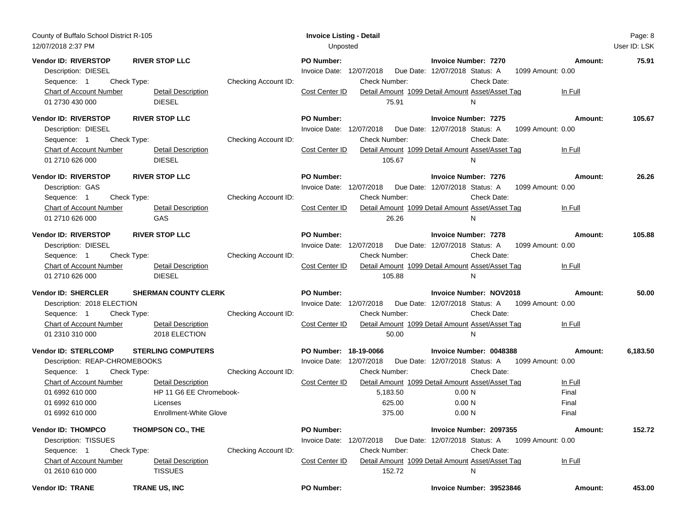| County of Buffalo School District R-105<br>12/07/2018 2:37 PM                                                                                                                                                                                        |                                                                           | <b>Invoice Listing - Detail</b><br>Unposted                                                                                 |                                                                                                                                                               | Page: 8<br>User ID: LSK                                                        |
|------------------------------------------------------------------------------------------------------------------------------------------------------------------------------------------------------------------------------------------------------|---------------------------------------------------------------------------|-----------------------------------------------------------------------------------------------------------------------------|---------------------------------------------------------------------------------------------------------------------------------------------------------------|--------------------------------------------------------------------------------|
| Vendor ID: RIVERSTOP<br><b>RIVER STOP LLC</b><br>Description: DIESEL<br>Check Type:<br>Sequence: 1<br><b>Chart of Account Number</b><br><b>Detail Description</b><br><b>DIESEL</b><br>01 2730 430 000                                                | Checking Account ID:                                                      | <b>PO Number:</b><br>Invoice Date: 12/07/2018<br>Check Number:<br>Cost Center ID<br>75.91                                   | <b>Invoice Number: 7270</b><br>Due Date: 12/07/2018 Status: A<br>Check Date:<br>Detail Amount 1099 Detail Amount Asset/Asset Tag<br>N                         | 75.91<br>Amount:<br>1099 Amount: 0.00<br>In Full                               |
| Vendor ID: RIVERSTOP<br><b>RIVER STOP LLC</b><br>Description: DIESEL<br>Check Type:<br>Sequence: 1<br>Chart of Account Number<br>Detail Description<br><b>DIESEL</b><br>01 2710 626 000                                                              | Checking Account ID:                                                      | PO Number:<br>Invoice Date: 12/07/2018<br>Check Number:<br>Cost Center ID<br>105.67                                         | <b>Invoice Number: 7275</b><br>Due Date: 12/07/2018 Status: A<br>Check Date:<br>Detail Amount 1099 Detail Amount Asset/Asset Tag<br>N                         | 105.67<br>Amount:<br>1099 Amount: 0.00<br>In Full                              |
| <b>Vendor ID: RIVERSTOP</b><br><b>RIVER STOP LLC</b><br>Description: GAS<br>Check Type:<br>Sequence: 1<br>Chart of Account Number<br>Detail Description<br>01 2710 626 000<br>GAS                                                                    | Checking Account ID:                                                      | <b>PO Number:</b><br>Invoice Date: 12/07/2018<br><b>Check Number:</b><br>Cost Center ID<br>26.26                            | <b>Invoice Number: 7276</b><br>Due Date: 12/07/2018 Status: A<br>Check Date:<br>Detail Amount 1099 Detail Amount Asset/Asset Tag<br>N.                        | 26.26<br>Amount:<br>1099 Amount: 0.00<br>In Full                               |
| Vendor ID: RIVERSTOP<br><b>RIVER STOP LLC</b><br>Description: DIESEL<br>Sequence: 1<br>Check Type:<br><b>Chart of Account Number</b><br><b>Detail Description</b><br>01 2710 626 000<br><b>DIESEL</b>                                                | Checking Account ID:                                                      | <b>PO Number:</b><br>Invoice Date: 12/07/2018<br>Check Number:<br>Cost Center ID<br>105.88                                  | <b>Invoice Number: 7278</b><br>Due Date: 12/07/2018 Status: A<br>Check Date:<br>Detail Amount 1099 Detail Amount Asset/Asset Tag<br>N                         | 105.88<br>Amount:<br>1099 Amount: 0.00<br>In Full                              |
| Vendor ID: SHERCLER<br><b>SHERMAN COUNTY CLERK</b><br>Description: 2018 ELECTION<br>Sequence: 1<br>Check Type:<br><b>Chart of Account Number</b><br><b>Detail Description</b><br>01 2310 310 000<br>2018 ELECTION                                    | Checking Account ID:                                                      | PO Number:<br>Invoice Date: 12/07/2018<br><b>Check Number:</b><br>Cost Center ID<br>50.00                                   | <b>Invoice Number: NOV2018</b><br>Due Date: 12/07/2018 Status: A<br>Check Date:<br>Detail Amount 1099 Detail Amount Asset/Asset Tag<br>N                      | 50.00<br>Amount:<br>1099 Amount: 0.00<br>In Full                               |
| Vendor ID: STERLCOMP<br><b>STERLING COMPUTERS</b><br>Description: REAP-CHROMEBOOKS<br>Sequence: 1<br>Check Type:<br>Chart of Account Number<br><b>Detail Description</b><br>01 6992 610 000<br>01 6992 610 000<br>Licenses<br>01 6992 610 000        | Checking Account ID:<br>HP 11 G6 EE Chromebook-<br>Enrollment-White Glove | PO Number: 18-19-0066<br>Invoice Date: 12/07/2018<br><b>Check Number:</b><br>Cost Center ID<br>5,183.50<br>625.00<br>375.00 | Invoice Number: 0048388<br>Due Date: 12/07/2018 Status: A<br>Check Date:<br>Detail Amount 1099 Detail Amount Asset/Asset Tag<br>0.00 N<br>0.00 N<br>0.00 N    | 6,183.50<br>Amount:<br>1099 Amount: 0.00<br>In Full<br>Final<br>Final<br>Final |
| Vendor ID: THOMPCO<br><b>THOMPSON CO., THE</b><br>Description: TISSUES<br>Check Type:<br>Sequence: 1<br><b>Chart of Account Number</b><br><b>Detail Description</b><br><b>TISSUES</b><br>01 2610 610 000<br><b>Vendor ID: TRANE</b><br>TRANE US, INC | Checking Account ID:                                                      | <b>PO Number:</b><br>Invoice Date: 12/07/2018<br><b>Check Number:</b><br>Cost Center ID<br>152.72<br>PO Number:             | Invoice Number: 2097355<br>Due Date: 12/07/2018 Status: A<br>Check Date:<br>Detail Amount 1099 Detail Amount Asset/Asset Tag<br>N<br>Invoice Number: 39523846 | Amount:<br>152.72<br>1099 Amount: 0.00<br>In Full<br>Amount:<br>453.00         |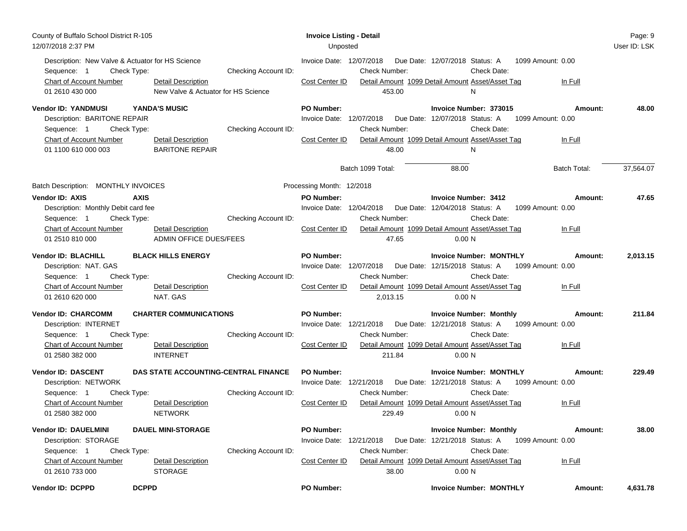| County of Buffalo School District R-105<br>12/07/2018 2:37 PM                                                                             |                                                                                     |                      | <b>Invoice Listing - Detail</b><br>Unposted                                             |                                          |                                                                                                                                                                 |                                         | Page: 9<br>User ID: LSK |
|-------------------------------------------------------------------------------------------------------------------------------------------|-------------------------------------------------------------------------------------|----------------------|-----------------------------------------------------------------------------------------|------------------------------------------|-----------------------------------------------------------------------------------------------------------------------------------------------------------------|-----------------------------------------|-------------------------|
| Description: New Valve & Actuator for HS Science<br>Sequence: 1<br>Check Type:<br>Chart of Account Number<br>01 2610 430 000              | <b>Detail Description</b><br>New Valve & Actuator for HS Science                    | Checking Account ID: | Invoice Date: 12/07/2018<br><b>Check Number:</b><br>Cost Center ID                      | Due Date: 12/07/2018 Status: A<br>453.00 | Check Date:<br>Detail Amount 1099 Detail Amount Asset/Asset Tag<br>N                                                                                            | 1099 Amount: 0.00<br>In Full            |                         |
| Vendor ID: YANDMUSI<br>Description: BARITONE REPAIR<br>Sequence: 1<br>Check Type:<br>Chart of Account Number<br>01 1100 610 000 003       | YANDA'S MUSIC<br>Detail Description<br><b>BARITONE REPAIR</b>                       | Checking Account ID: | <b>PO Number:</b><br>Invoice Date: 12/07/2018<br><b>Check Number:</b><br>Cost Center ID | Due Date: 12/07/2018 Status: A<br>48.00  | Invoice Number: 373015<br>Check Date:<br>Detail Amount 1099 Detail Amount Asset/Asset Tag<br>N                                                                  | Amount:<br>1099 Amount: 0.00<br>In Full | 48.00                   |
|                                                                                                                                           |                                                                                     |                      | Batch 1099 Total:                                                                       |                                          | 88.00                                                                                                                                                           | Batch Total:                            | 37,564.07               |
| Batch Description: MONTHLY INVOICES                                                                                                       |                                                                                     |                      | Processing Month: 12/2018                                                               |                                          |                                                                                                                                                                 |                                         |                         |
| <b>Vendor ID: AXIS</b><br>Description: Monthly Debit card fee<br>Check Type:<br>Sequence: 1<br>Chart of Account Number<br>01 2510 810 000 | <b>AXIS</b><br><b>Detail Description</b><br>ADMIN OFFICE DUES/FEES                  | Checking Account ID: | <b>PO Number:</b><br>Invoice Date: 12/04/2018<br><b>Check Number:</b><br>Cost Center ID | 47.65                                    | <b>Invoice Number: 3412</b><br>Due Date: 12/04/2018 Status: A<br>Check Date:<br>Detail Amount 1099 Detail Amount Asset/Asset Tag<br>0.00 N                      | Amount:<br>1099 Amount: 0.00<br>In Full | 47.65                   |
| <b>Vendor ID: BLACHILL</b><br>Description: NAT. GAS<br>Sequence: 1<br>Check Type:<br>Chart of Account Number<br>01 2610 620 000           | <b>BLACK HILLS ENERGY</b><br>Detail Description<br>NAT. GAS                         | Checking Account ID: | <b>PO Number:</b><br>Invoice Date: 12/07/2018<br>Check Number:<br>Cost Center ID        | 2,013.15                                 | <b>Invoice Number: MONTHLY</b><br>Due Date: 12/15/2018 Status: A 1099 Amount: 0.00<br>Check Date:<br>Detail Amount 1099 Detail Amount Asset/Asset Tag<br>0.00 N | Amount:<br>In Full                      | 2,013.15                |
| <b>Vendor ID: CHARCOMM</b><br>Description: INTERNET<br>Sequence: 1<br>Check Type:<br>Chart of Account Number<br>01 2580 382 000           | <b>CHARTER COMMUNICATIONS</b><br><b>Detail Description</b><br><b>INTERNET</b>       | Checking Account ID: | PO Number:<br>Invoice Date: 12/21/2018<br>Check Number:<br>Cost Center ID               | 211.84                                   | <b>Invoice Number: Monthly</b><br>Due Date: 12/21/2018 Status: A 1099 Amount: 0.00<br>Check Date:<br>Detail Amount 1099 Detail Amount Asset/Asset Tag<br>0.00 N | Amount:<br>In Full                      | 211.84                  |
| <b>Vendor ID: DASCENT</b><br>Description: NETWORK<br>Sequence: 1<br>Check Type:<br>Chart of Account Number<br>01 2580 382 000             | DAS STATE ACCOUNTING-CENTRAL FINANCE<br><b>Detail Description</b><br><b>NETWORK</b> | Checking Account ID: | <b>PO Number:</b><br>Invoice Date: 12/21/2018<br><b>Check Number:</b><br>Cost Center ID | 229.49                                   | <b>Invoice Number: MONTHLY</b><br>Due Date: 12/21/2018 Status: A 1099 Amount: 0.00<br>Check Date:<br>Detail Amount 1099 Detail Amount Asset/Asset Tag<br>0.00 N | Amount:<br>In Full                      | 229.49                  |
| <b>Vendor ID: DAUELMINI</b><br>Description: STORAGE<br>Sequence: 1<br>Check Type:<br>Chart of Account Number<br>01 2610 733 000           | <b>DAUEL MINI-STORAGE</b><br><b>Detail Description</b><br><b>STORAGE</b>            | Checking Account ID: | <b>PO Number:</b><br>Invoice Date: 12/21/2018<br><b>Check Number:</b><br>Cost Center ID | Due Date: 12/21/2018 Status: A<br>38.00  | <b>Invoice Number: Monthly</b><br>Check Date:<br>Detail Amount 1099 Detail Amount Asset/Asset Tag<br>0.00 N                                                     | Amount:<br>1099 Amount: 0.00<br>In Full | 38.00                   |
| Vendor ID: DCPPD                                                                                                                          | <b>DCPPD</b>                                                                        |                      | <b>PO Number:</b>                                                                       |                                          | <b>Invoice Number: MONTHLY</b>                                                                                                                                  | Amount:                                 | 4,631.78                |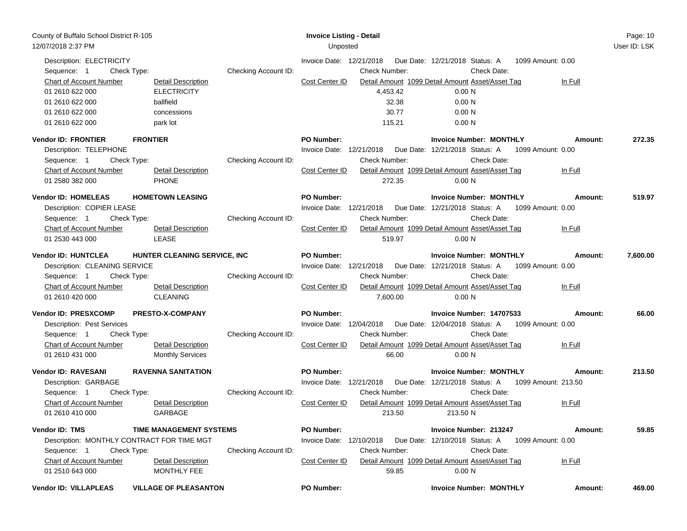| County of Buffalo School District R-105<br>12/07/2018 2:37 PM                                        |                                                             |                      | <b>Invoice Listing - Detail</b><br>Unposted |                                  |                                                                                                             |                              | Page: 10<br>User ID: LSK |
|------------------------------------------------------------------------------------------------------|-------------------------------------------------------------|----------------------|---------------------------------------------|----------------------------------|-------------------------------------------------------------------------------------------------------------|------------------------------|--------------------------|
| Description: ELECTRICITY<br>Check Type:<br>Sequence: 1<br>Chart of Account Number<br>01 2610 622 000 | <b>Detail Description</b><br><b>ELECTRICITY</b>             | Checking Account ID: | Invoice Date: 12/21/2018<br>Cost Center ID  | <b>Check Number:</b><br>4,453.42 | Due Date: 12/21/2018 Status: A<br>Check Date:<br>Detail Amount 1099 Detail Amount Asset/Asset Tag<br>0.00 N | 1099 Amount: 0.00<br>In Full |                          |
| 01 2610 622 000<br>01 2610 622 000<br>01 2610 622 000                                                | ballfield<br>concessions<br>park lot                        |                      |                                             | 32.38<br>30.77<br>115.21         | 0.00 N<br>0.00 N<br>0.00 N                                                                                  |                              |                          |
| <b>Vendor ID: FRONTIER</b>                                                                           | <b>FRONTIER</b>                                             |                      | <b>PO Number:</b>                           |                                  | <b>Invoice Number: MONTHLY</b>                                                                              | Amount:                      | 272.35                   |
| Description: TELEPHONE<br>Sequence: 1                                                                | Check Type:                                                 | Checking Account ID: | Invoice Date: 12/21/2018                    | <b>Check Number:</b>             | Due Date: 12/21/2018 Status: A<br>Check Date:                                                               | 1099 Amount: 0.00            |                          |
| Chart of Account Number<br>01 2580 382 000                                                           | Detail Description<br><b>PHONE</b>                          |                      | Cost Center ID                              | 272.35                           | Detail Amount 1099 Detail Amount Asset/Asset Tag<br>0.00 N                                                  | In Full                      |                          |
| <b>Vendor ID: HOMELEAS</b>                                                                           | <b>HOMETOWN LEASING</b>                                     |                      | <b>PO Number:</b>                           |                                  | <b>Invoice Number: MONTHLY</b>                                                                              | Amount:                      | 519.97                   |
| Description: COPIER LEASE<br>Sequence: 1                                                             | Check Type:                                                 | Checking Account ID: | Invoice Date: 12/21/2018                    | <b>Check Number:</b>             | Due Date: 12/21/2018 Status: A<br>Check Date:                                                               | 1099 Amount: 0.00            |                          |
| <b>Chart of Account Number</b><br>01 2530 443 000                                                    | <b>Detail Description</b><br><b>LEASE</b>                   |                      | Cost Center ID                              | 519.97                           | Detail Amount 1099 Detail Amount Asset/Asset Tag<br>0.00 N                                                  | In Full                      |                          |
| Vendor ID: HUNTCLEA                                                                                  | HUNTER CLEANING SERVICE, INC                                |                      | <b>PO Number:</b>                           |                                  | <b>Invoice Number: MONTHLY</b>                                                                              | Amount:                      | 7,600.00                 |
| Description: CLEANING SERVICE<br>Sequence: 1                                                         |                                                             |                      | Invoice Date: 12/21/2018                    | <b>Check Number:</b>             | Due Date: 12/21/2018 Status: A<br>Check Date:                                                               | 1099 Amount: 0.00            |                          |
| Chart of Account Number<br>01 2610 420 000                                                           | Check Type:<br><b>Detail Description</b><br><b>CLEANING</b> | Checking Account ID: | Cost Center ID                              | 7,600.00                         | Detail Amount 1099 Detail Amount Asset/Asset Tag<br>0.00 N                                                  | In Full                      |                          |
| Vendor ID: PRESXCOMP                                                                                 | <b>PRESTO-X-COMPANY</b>                                     |                      | PO Number:                                  |                                  | Invoice Number: 14707533                                                                                    | Amount:                      | 66.00                    |
| Description: Pest Services<br>Sequence: 1<br>Check Type:                                             |                                                             | Checking Account ID: | Invoice Date: 12/04/2018                    | <b>Check Number:</b>             | Due Date: 12/04/2018 Status: A<br>Check Date:                                                               | 1099 Amount: 0.00            |                          |
| Chart of Account Number<br>01 2610 431 000                                                           | <b>Detail Description</b><br><b>Monthly Services</b>        |                      | Cost Center ID                              | 66.00                            | Detail Amount 1099 Detail Amount Asset/Asset Tag<br>0.00 N                                                  | In Full                      |                          |
| Vendor ID: RAVESANI                                                                                  | <b>RAVENNA SANITATION</b>                                   |                      | <b>PO Number:</b>                           |                                  | <b>Invoice Number: MONTHLY</b>                                                                              | Amount:                      | 213.50                   |
| Description: GARBAGE<br>Sequence: 1                                                                  | Check Type:                                                 | Checking Account ID: | Invoice Date: 12/21/2018                    | <b>Check Number:</b>             | Due Date: 12/21/2018 Status: A 1099 Amount: 213.50<br>Check Date:                                           |                              |                          |
| Chart of Account Number<br>01 2610 410 000                                                           | <b>Detail Description</b><br>GARBAGE                        |                      | Cost Center ID                              | 213.50                           | Detail Amount 1099 Detail Amount Asset/Asset Tag<br>213.50 N                                                | In Full                      |                          |
| Vendor ID: TMS                                                                                       | <b>TIME MANAGEMENT SYSTEMS</b>                              |                      | PO Number:                                  |                                  | Invoice Number: 213247                                                                                      | Amount:                      | 59.85                    |
| Description: MONTHLY CONTRACT FOR TIME MGT<br>Sequence: 1                                            | Check Type:                                                 | Checking Account ID: | Invoice Date: 12/10/2018                    | <b>Check Number:</b>             | Due Date: 12/10/2018 Status: A<br>Check Date:                                                               | 1099 Amount: 0.00            |                          |
| Chart of Account Number<br>01 2510 643 000                                                           | <b>Detail Description</b><br>MONTHLY FEE                    |                      | Cost Center ID                              | 59.85                            | Detail Amount 1099 Detail Amount Asset/Asset Tag<br>0.00 N                                                  | In Full                      |                          |
| Vendor ID: VILLAPLEAS                                                                                | <b>VILLAGE OF PLEASANTON</b>                                |                      | PO Number:                                  |                                  | <b>Invoice Number: MONTHLY</b>                                                                              | Amount:                      | 469.00                   |